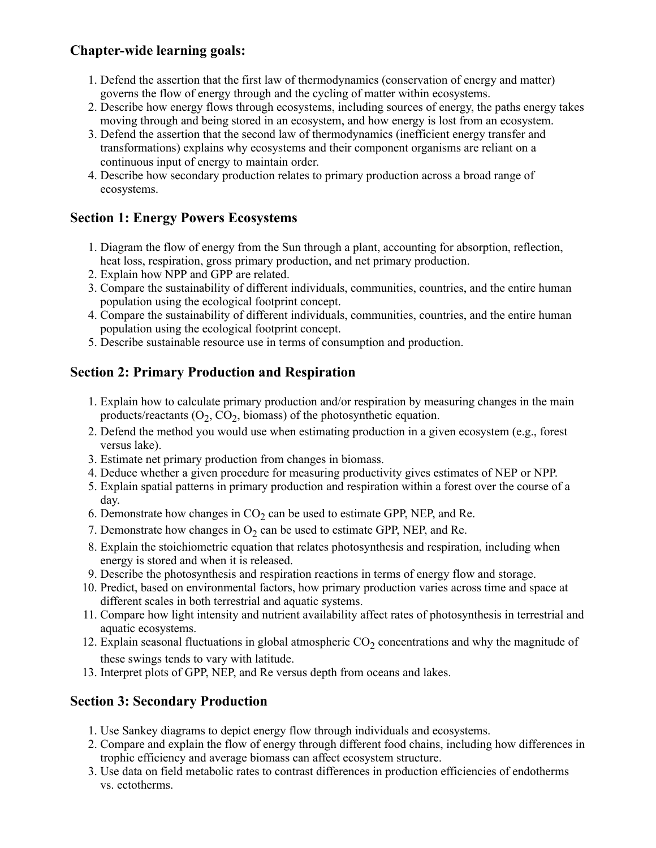# **Chapter-wide learning goals:**

- 1. Defend the assertion that the first law of thermodynamics (conservation of energy and matter) governs the flow of energy through and the cycling of matter within ecosystems.
- 2. Describe how energy flows through ecosystems, including sources of energy, the paths energy takes moving through and being stored in an ecosystem, and how energy is lost from an ecosystem.
- 3. Defend the assertion that the second law of thermodynamics (inefficient energy transfer and transformations) explains why ecosystems and their component organisms are reliant on a continuous input of energy to maintain order.
- 4. Describe how secondary production relates to primary production across a broad range of ecosystems.

# **Section 1: Energy Powers Ecosystems**

- 1. Diagram the flow of energy from the Sun through a plant, accounting for absorption, reflection, heat loss, respiration, gross primary production, and net primary production.
- 2. Explain how NPP and GPP are related.
- 3. Compare the sustainability of different individuals, communities, countries, and the entire human population using the ecological footprint concept.
- 4. Compare the sustainability of different individuals, communities, countries, and the entire human population using the ecological footprint concept.
- 5. Describe sustainable resource use in terms of consumption and production.

# **Section 2: Primary Production and Respiration**

- 1. Explain how to calculate primary production and/or respiration by measuring changes in the main products/reactants  $(O_2, CO_2,$  biomass) of the photosynthetic equation.
- 2. Defend the method you would use when estimating production in a given ecosystem (e.g., forest versus lake).
- 3. Estimate net primary production from changes in biomass.
- 4. Deduce whether a given procedure for measuring productivity gives estimates of NEP or NPP.
- 5. Explain spatial patterns in primary production and respiration within a forest over the course of a day.
- 6. Demonstrate how changes in  $CO<sub>2</sub>$  can be used to estimate GPP, NEP, and Re.
- 7. Demonstrate how changes in  $O_2$  can be used to estimate GPP, NEP, and Re.
- 8. Explain the stoichiometric equation that relates photosynthesis and respiration, including when energy is stored and when it is released.
- 9. Describe the photosynthesis and respiration reactions in terms of energy flow and storage.
- 10. Predict, based on environmental factors, how primary production varies across time and space at different scales in both terrestrial and aquatic systems.
- 11. Compare how light intensity and nutrient availability affect rates of photosynthesis in terrestrial and aquatic ecosystems.
- 12. Explain seasonal fluctuations in global atmospheric  $CO<sub>2</sub>$  concentrations and why the magnitude of these swings tends to vary with latitude.
- 13. Interpret plots of GPP, NEP, and Re versus depth from oceans and lakes.

# **Section 3: Secondary Production**

- 1. Use Sankey diagrams to depict energy flow through individuals and ecosystems.
- 2. Compare and explain the flow of energy through different food chains, including how differences in trophic efficiency and average biomass can affect ecosystem structure.
- 3. Use data on field metabolic rates to contrast differences in production efficiencies of endotherms vs. ectotherms.